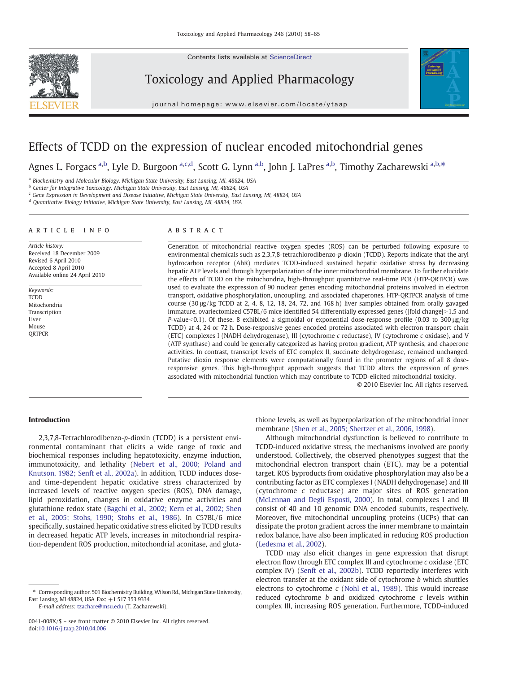Contents lists available at ScienceDirect



Toxicology and Applied Pharmacology





# Effects of TCDD on the expression of nuclear encoded mitochondrial genes

Agnes L. Forgacs <sup>a,b</sup>, Lyle D. Burgoon <sup>a,c,d</sup>, Scott G. Lynn <sup>a,b</sup>, John J. LaPres <sup>a,b</sup>, Timothy Zacharewski <sup>a,b,\*</sup>

<sup>a</sup> Biochemistry and Molecular Biology, Michigan State University, East Lansing, MI, 48824, USA

b Center for Integrative Toxicology, Michigan State University, East Lansing, MI, 48824, USA

<sup>c</sup> Gene Expression in Development and Disease Initiative, Michigan State University, East Lansing, MI, 48824, USA

<sup>d</sup> Quantitative Biology Initiative, Michigan State University, East Lansing, MI, 48824, USA

#### article info abstract

Article history: Received 18 December 2009 Revised 6 April 2010 Accepted 8 April 2010 Available online 24 April 2010

Keywords: TCDD Mitochondria Transcription Liver Mouse **ORTPCR** 

Generation of mitochondrial reactive oxygen species (ROS) can be perturbed following exposure to environmental chemicals such as 2,3,7,8-tetrachlorodibenzo-p-dioxin (TCDD). Reports indicate that the aryl hydrocarbon receptor (AhR) mediates TCDD-induced sustained hepatic oxidative stress by decreasing hepatic ATP levels and through hyperpolarization of the inner mitochondrial membrane. To further elucidate the effects of TCDD on the mitochondria, high-throughput quantitative real-time PCR (HTP-QRTPCR) was used to evaluate the expression of 90 nuclear genes encoding mitochondrial proteins involved in electron transport, oxidative phosphorylation, uncoupling, and associated chaperones. HTP-QRTPCR analysis of time course (30 μg/kg TCDD at 2, 4, 8, 12, 18, 24, 72, and 168 h) liver samples obtained from orally gavaged immature, ovariectomized C57BL/6 mice identified 54 differentially expressed genes (|fold change|>1.5 and P-value $<0.1$ ). Of these, 8 exhibited a sigmoidal or exponential dose-response profile (0.03 to 300  $\mu$ g/kg TCDD) at 4, 24 or 72 h. Dose-responsive genes encoded proteins associated with electron transport chain (ETC) complexes I (NADH dehydrogenase), III (cytochrome c reductase), IV (cytochrome c oxidase), and V (ATP synthase) and could be generally categorized as having proton gradient, ATP synthesis, and chaperone activities. In contrast, transcript levels of ETC complex II, succinate dehydrogenase, remained unchanged. Putative dioxin response elements were computationally found in the promoter regions of all 8 doseresponsive genes. This high-throughput approach suggests that TCDD alters the expression of genes associated with mitochondrial function which may contribute to TCDD-elicited mitochondrial toxicity.

© 2010 Elsevier Inc. All rights reserved.

# Introduction

2,3,7,8-Tetrachlorodibenzo-p-dioxin (TCDD) is a persistent environmental contaminant that elicits a wide range of toxic and biochemical responses including hepatotoxicity, enzyme induction, immunotoxicity, and lethality [\(Nebert et al., 2000; Poland and](#page-7-0) [Knutson, 1982; Senft et al., 2002a](#page-7-0)). In addition, TCDD induces doseand time-dependent hepatic oxidative stress characterized by increased levels of reactive oxygen species (ROS), DNA damage, lipid peroxidation, changes in oxidative enzyme activities and glutathione redox state [\(Bagchi et al., 2002; Kern et al., 2002; Shen](#page-7-0) [et al., 2005; Stohs, 1990; Stohs et al., 1986\)](#page-7-0). In C57BL/6 mice specifically, sustained hepatic oxidative stress elicited by TCDD results in decreased hepatic ATP levels, increases in mitochondrial respiration-dependent ROS production, mitochondrial aconitase, and gluta-

E-mail address: [tzachare@msu.edu](mailto:tzachare@msu.edu) (T. Zacharewski).

thione levels, as well as hyperpolarization of the mitochondrial inner membrane [\(Shen et al., 2005; Shertzer et al., 2006, 1998\)](#page-7-0).

Although mitochondrial dysfunction is believed to contribute to TCDD-induced oxidative stress, the mechanisms involved are poorly understood. Collectively, the observed phenotypes suggest that the mitochondrial electron transport chain (ETC), may be a potential target. ROS byproducts from oxidative phosphorylation may also be a contributing factor as ETC complexes I (NADH dehydrogenase) and III (cytochrome c reductase) are major sites of ROS generation [\(McLennan and Degli Esposti, 2000\)](#page-7-0). In total, complexes I and III consist of 40 and 10 genomic DNA encoded subunits, respectively. Moreover, five mitochondrial uncoupling proteins (UCPs) that can dissipate the proton gradient across the inner membrane to maintain redox balance, have also been implicated in reducing ROS production [\(Ledesma et al., 2002](#page-7-0)).

TCDD may also elicit changes in gene expression that disrupt electron flow through ETC complex III and cytochrome c oxidase (ETC complex IV) [\(Senft et al., 2002b](#page-7-0)). TCDD reportedly interferes with electron transfer at the oxidant side of cytochrome b which shuttles electrons to cytochrome  $c$  [\(Nohl et al., 1989](#page-7-0)). This would increase reduced cytochrome  $b$  and oxidized cytochrome  $c$  levels within complex III, increasing ROS generation. Furthermore, TCDD-induced

<sup>⁎</sup> Corresponding author. 501 Biochemistry Building, Wilson Rd., Michigan State University, East Lansing, MI 48824, USA. Fax: +1 517 353 9334.

<sup>0041-008</sup>X/\$ – see front matter © 2010 Elsevier Inc. All rights reserved. doi[:10.1016/j.taap.2010.04.006](http://dx.doi.org/10.1016/j.taap.2010.04.006)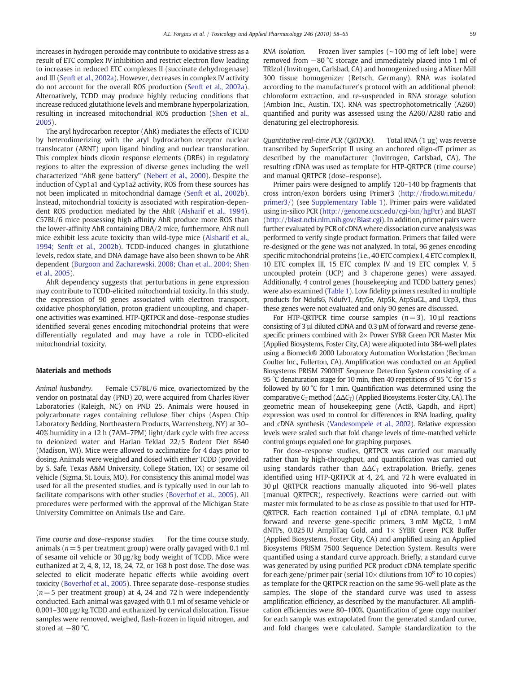increases in hydrogen peroxide may contribute to oxidative stress as a result of ETC complex IV inhibition and restrict electron flow leading to increases in reduced ETC complexes II (succinate dehydrogenase) and III ([Senft et al., 2002a](#page-7-0)). However, decreases in complex IV activity do not account for the overall ROS production [\(Senft et al., 2002a](#page-7-0)). Alternatively, TCDD may produce highly reducing conditions that increase reduced glutathione levels and membrane hyperpolarization, resulting in increased mitochondrial ROS production ([Shen et al.,](#page-7-0) [2005\)](#page-7-0).

The aryl hydrocarbon receptor (AhR) mediates the effects of TCDD by heterodimerizing with the aryl hydrocarbon receptor nuclear translocator (ARNT) upon ligand binding and nuclear translocation. This complex binds dioxin response elements (DREs) in regulatory regions to alter the expression of diverse genes including the well characterized "AhR gene battery" [\(Nebert et al., 2000\)](#page-7-0). Despite the induction of Cyp1a1 and Cyp1a2 activity, ROS from these sources has not been implicated in mitochondrial damage [\(Senft et al., 2002b](#page-7-0)). Instead, mitochondrial toxicity is associated with respiration-dependent ROS production mediated by the AhR ([Alsharif et al., 1994](#page-7-0)). C57BL/6 mice possessing high affinity AhR produce more ROS than the lower-affinity AhR containing DBA/2 mice, furthermore, AhR null mice exhibit less acute toxicity than wild-type mice ([Alsharif et al.,](#page-7-0) [1994; Senft et al., 2002b\)](#page-7-0). TCDD-induced changes in glutathione levels, redox state, and DNA damage have also been shown to be AhR dependent ([Burgoon and Zacharewski, 2008; Chan et al., 2004; Shen](#page-7-0) [et al., 2005\)](#page-7-0).

AhR dependency suggests that perturbations in gene expression may contribute to TCDD-elicited mitochondrial toxicity. In this study, the expression of 90 genes associated with electron transport, oxidative phosphorylation, proton gradient uncoupling, and chaperone activities was examined. HTP-QRTPCR and dose–response studies identified several genes encoding mitochondrial proteins that were differentially regulated and may have a role in TCDD-elicited mitochondrial toxicity.

#### Materials and methods

Animal husbandry. Female C57BL/6 mice, ovariectomized by the vendor on postnatal day (PND) 20, were acquired from Charles River Laboratories (Raleigh, NC) on PND 25. Animals were housed in polycarbonate cages containing cellulose fiber chips (Aspen Chip Laboratory Bedding, Northeastern Products, Warrensberg, NY) at 30– 40% humidity in a 12 h (7AM–7PM) light/dark cycle with free access to deionized water and Harlan Teklad 22/5 Rodent Diet 8640 (Madison, WI). Mice were allowed to acclimatize for 4 days prior to dosing. Animals were weighed and dosed with either TCDD (provided by S. Safe, Texas A&M University, College Station, TX) or sesame oil vehicle (Sigma, St. Louis, MO). For consistency this animal model was used for all the presented studies, and is typically used in our lab to facilitate comparisons with other studies [\(Boverhof et al., 2005\)](#page-7-0). All procedures were performed with the approval of the Michigan State University Committee on Animals Use and Care.

Time course and dose-response studies. For the time course study, animals ( $n = 5$  per treatment group) were orally gavaged with 0.1 ml of sesame oil vehicle or 30 µg/kg body weight of TCDD. Mice were euthanized at 2, 4, 8, 12, 18, 24, 72, or 168 h post dose. The dose was selected to elicit moderate hepatic effects while avoiding overt toxicity [\(Boverhof et al., 2005](#page-7-0)). Three separate dose–response studies  $(n= 5$  per treatment group) at 4, 24 and 72 h were independently conducted. Each animal was gavaged with 0.1 ml of sesame vehicle or 0.001–300 µg/kg TCDD and euthanized by cervical dislocation. Tissue samples were removed, weighed, flash-frozen in liquid nitrogen, and stored at −80 °C.

RNA isolation. Frozen liver samples (∼100 mg of left lobe) were removed from −80 °C storage and immediately placed into 1 ml of TRIzol (Invitrogen, Carlsbad, CA) and homogenized using a Mixer Mill 300 tissue homogenizer (Retsch, Germany). RNA was isolated according to the manufacturer's protocol with an additional phenol: chloroform extraction, and re-suspended in RNA storage solution (Ambion Inc., Austin, TX). RNA was spectrophotometrically (A260) quantified and purity was assessed using the A260/A280 ratio and denaturing gel electrophoresis.

Quantitative real-time PCR (QRTPCR). Total RNA (1 µg) was reverse transcribed by SuperScript II using an anchored oligo-dT primer as described by the manufacturer (Invitrogen, Carlsbad, CA). The resulting cDNA was used as template for HTP-QRTPCR (time course) and manual QRTPCR (dose–response).

Primer pairs were designed to amplify 120–140 bp fragments that cross intron/exon borders using Primer3 [\(http://frodo.wi.mit.edu/](http://frodo.wi.mit.edu/primer3/) [primer3/](http://frodo.wi.mit.edu/primer3/)) (see Supplementary Table 1). Primer pairs were validated using in-silico PCR [\(http://genome.ucsc.edu/cgi-bin/hgPcr](http://genome.ucsc.edu/cgi-bin/hgPcr)) and BLAST [\(http://blast.ncbi.nlm.nih.gov/Blast.cgi\)](http://blast.ncbi.nlm.nih.gov/Blast.cgi). In addition, primer pairs were further evaluated by PCR of cDNA where dissociation curve analysis was performed to verify single product formation. Primers that failed were re-designed or the gene was not analyzed. In total, 96 genes encoding specific mitochondrial proteins (i.e., 40 ETC complex I, 4 ETC complex II, 10 ETC complex III, 15 ETC complex IV and 19 ETC complex V, 5 uncoupled protein (UCP) and 3 chaperone genes) were assayed. Additionally, 4 control genes (housekeeping and TCDD battery genes) were also examined ([Table 1\)](#page-2-0). Low fidelity primers resulted in multiple products for Ndufs6, Ndufv1, Atp5e, Atp5k, AtpSuGL, and Ucp3, thus these genes were not evaluated and only 90 genes are discussed.

For HTP-QRTPCR time course samples  $(n=3)$ , 10 µl reactions consisting of 3 µl diluted cDNA and 0.3 µM of forward and reverse genespecific primers combined with  $2\times$  Power SYBR Green PCR Master Mix (Applied Biosystems, Foster City, CA) were aliquoted into 384-well plates using a Biomeck® 2000 Laboratory Automation Workstation (Beckman Coulter Inc., Fullerton, CA). Amplification was conducted on an Applied Biosystems PRISM 7900HT Sequence Detection System consisting of a 95 °C denaturation stage for 10 min, then 40 repetitions of 95 °C for 15 s followed by 60 °C for 1 min. Quantification was determined using the comparative  $C_T$  method ( $\Delta \Delta C_T$ ) (Applied Biosystems, Foster City, CA). The geometric mean of housekeeping gene (ActB, Gapdh, and Hprt) expression was used to control for differences in RNA loading, quality and cDNA synthesis [\(Vandesompele et al., 2002\)](#page-7-0). Relative expression levels were scaled such that fold change levels of time-matched vehicle control groups equaled one for graphing purposes.

For dose–response studies, QRTPCR was carried out manually rather than by high-throughput, and quantification was carried out using standards rather than  $\Delta \Delta C_T$  extrapolation. Briefly, genes identified using HTP-QRTPCR at 4, 24, and 72 h were evaluated in 30 µl QRTPCR reactions manually aliquoted into 96-well plates (manual QRTPCR), respectively. Reactions were carried out with master mix formulated to be as close as possible to that used for HTP-QRTPCR. Each reaction contained 1 µl of cDNA template, 0.1 µM forward and reverse gene-specific primers, 3 mM MgCl2, 1 mM dNTPs, 0.025 IU AmpliTaq Gold, and  $1 \times$  SYBR Green PCR Buffer (Applied Biosystems, Foster City, CA) and amplified using an Applied Biosystems PRISM 7500 Sequence Detection System. Results were quantified using a standard curve approach. Briefly, a standard curve was generated by using purified PCR product cDNA template specific for each gene/primer pair (serial  $10\times$  dilutions from  $10^8$  to 10 copies) as template for the QRTPCR reaction on the same 96-well plate as the samples. The slope of the standard curve was used to assess amplification efficiency, as described by the manufacturer. All amplification efficiencies were 80–100%. Quantification of gene copy number for each sample was extrapolated from the generated standard curve, and fold changes were calculated. Sample standardization to the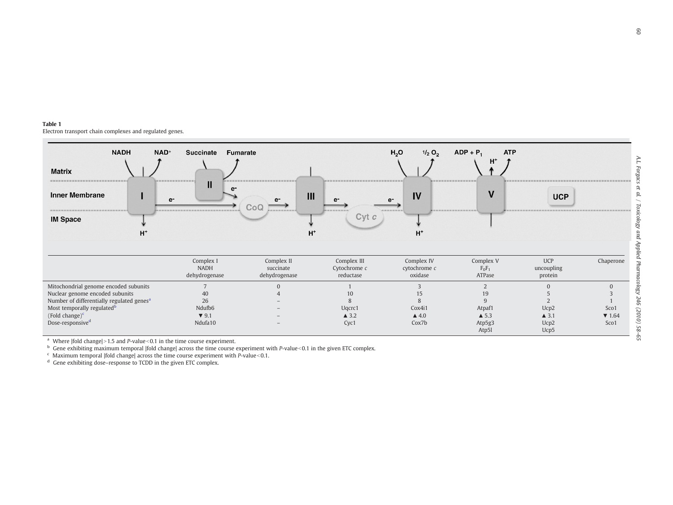<span id="page-2-0"></span>

| <b>Matrix</b><br>-------------------------------<br><b>Inner Membrane</b><br><b>IM Space</b>                                                                                                                                     | <b>NADH</b><br>$H^+$ | NAD <sup>+</sup><br>Now we are the column as the column to the column of the column<br>e- | <b>Succinate</b><br>ш                                     | Fumarate<br>$\rho$ -<br>$e-$<br>COU<br>----------------- | Ш<br>e-<br>the set on the part we are the the<br>$Cvt$ $c$<br>н | H <sub>2</sub> O<br>$1/2$ O <sub>2</sub><br>IV<br>$e-$<br>----------<br>H | <b>ATP</b><br>$ADP + P_1$<br>$H^*$<br>with the party of the control of the control of the control of the control of the control of the control of the control of the control of the control of the control of the control of the control of the control of the contr<br>$\mathbf v$ | <b>UCP</b>                              |                                                       |
|----------------------------------------------------------------------------------------------------------------------------------------------------------------------------------------------------------------------------------|----------------------|-------------------------------------------------------------------------------------------|-----------------------------------------------------------|----------------------------------------------------------|-----------------------------------------------------------------|---------------------------------------------------------------------------|-------------------------------------------------------------------------------------------------------------------------------------------------------------------------------------------------------------------------------------------------------------------------------------|-----------------------------------------|-------------------------------------------------------|
|                                                                                                                                                                                                                                  |                      |                                                                                           | Complex I<br><b>NADH</b><br>dehydrogenase                 | Complex II<br>succinate<br>dehydrogenase                 | Complex III<br>Cytochrome $c$<br>reductase                      | Complex IV<br>cytochrome c<br>oxidase                                     | Complex V<br>$F_0F_1$<br>ATPase                                                                                                                                                                                                                                                     | <b>UCP</b><br>uncoupling<br>protein     | Chaperone                                             |
| Mitochondrial genome encoded subunits<br>Nuclear genome encoded subunits<br>Number of differentially regulated genes <sup>a</sup><br>Most temporally regulated <sup>b</sup><br>(Fold change) $c$<br>Dose-responsive <sup>d</sup> |                      |                                                                                           | 40<br>26<br>Ndufb6<br>$\blacktriangledown$ 9.1<br>Ndufa10 |                                                          | 10<br>Uqcrc1<br>$\triangle$ 3.2<br>Cyc1                         | 15<br>Cox4i1<br>$\triangle$ 4.0<br>Cox7b                                  | Atpaf1<br>$\triangle$ 5.3<br>Atp5g3<br>Atp5l                                                                                                                                                                                                                                        | Ucp2<br>$\triangle$ 3.1<br>Ucp2<br>Ucp5 | $\Omega$<br>Sco1<br>$\blacktriangledown$ 1.64<br>Sco1 |

<sup>a</sup> Where |fold change|>1.5 and P-value<0.1 in the time course experiment.<br><sup>b</sup> Gene exhibiting maximum temporal |fold change| across the time course experiment with P-value<0.1 in the given ETC complex.

 $\epsilon$  Maximum temporal |fold change| across the time course experiment with P-value < 0.1.

<sup>d</sup> Gene exhibiting dose–response to TCDD in the given ETC complex.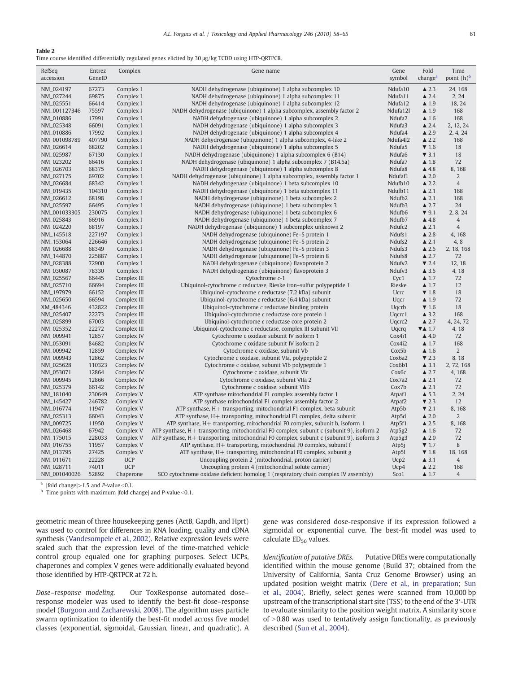# <span id="page-3-0"></span>Table 2

Time course identified differentially regulated genes elicited by 30 μg/kg TCDD using HTP-QRTPCR.

| point (h) <sup>b</sup><br>change <sup>a</sup><br>accession<br>GeneID<br>symbol<br>Ndufa10<br>NM_024197<br>67273<br>Complex I<br>NADH dehydrogenase (ubiquinone) 1 alpha subcomplex 10<br>$\triangle$ 2.3<br>24, 168<br>NM_027244<br>69875<br>Complex I<br>NADH dehydrogenase (ubiquinone) 1 alpha subcomplex 11<br>Ndufa11<br>$\triangle$ 2.4<br>2, 24<br>Complex I<br>NADH dehydrogenase (ubiquinone) 1 alpha subcomplex 12<br>Ndufa12<br>NM_025551<br>66414<br>$\blacktriangle$ 1.9<br>18, 24<br>NADH dehydrogenase (ubiquinone) 1 alpha subcomplex, assembly factor 2<br>Ndufa12l<br>NM_001127346<br>75597<br>Complex I<br>$\blacktriangle$ 1.9<br>168<br>NM_010886<br>17991<br>Complex I<br>NADH dehydrogenase (ubiquinone) 1 alpha subcomplex 2<br>Ndufa2<br>$\blacktriangle$ 1.6<br>168<br>66091<br>NADH dehydrogenase (ubiquinone) 1 alpha subcomplex 3<br>Ndufa3<br>NM_025348<br>Complex I<br>$\triangle$ 2.4<br>2, 12, 24<br>17992<br>NADH dehydrogenase (ubiquinone) 1 alpha subcomplex 4<br>Ndufa4<br>2, 4, 24<br>NM_010886<br>Complex I<br>$\triangle$ 2.9<br>407790<br>Complex I<br>NADH dehydrogenase (ubiquinone) 1 alpha subcomplex, 4-like 2<br>Ndufa4l2<br>$\triangle 2.2$<br>NM_001098789<br>168<br>NM_026614<br>68202<br>Complex I<br>NADH dehydrogenase (ubiquinone) 1 alpha subcomplex 5<br>Ndufa5<br>$\blacktriangledown$ 1.6<br>18<br>NM_025987<br>67130<br>Complex I<br>NADH dehydrogenase (ubiquinone) 1 alpha subcomplex 6 (B14)<br>Ndufa6<br>$\blacktriangledown$ 3.1<br>18<br>NM_023202<br>66416<br>NADH dehydrogenase (ubiquinone) 1 alpha subcomplex 7 (B14.5a)<br>Ndufa7<br>72<br>Complex I<br>$\blacktriangle$ 1.8<br>NADH dehydrogenase (ubiquinone) 1 alpha subcomplex 8<br>Ndufa8<br>$\triangle$ 4.8<br>8,168<br>NM_026703<br>68375<br>Complex I<br>69702<br>Complex I<br>NADH dehydrogenase (ubiquinone) 1 alpha subcomplex, assembly factor 1<br>Ndufaf1<br>$\triangle$ 2.0<br>2<br>NM_027175<br>NM_026684<br>68342<br>Complex I<br>NADH dehydrogenase (ubiquinone) 1 beta subcomplex 10<br>Ndufb10<br>$\triangle$ 2.2<br>$\overline{4}$<br>NM_019435<br>104310<br>Complex I<br>NADH dehydrogenase (ubiquinone) 1 beta subcomplex 11<br>Ndufb11<br>$\triangle$ 2.1<br>168<br>68198<br>Ndufb2<br>NM_026612<br>Complex I<br>NADH dehydrogenase (ubiquinone) 1 beta subcomplex 2<br>$\triangle$ 2.1<br>168<br>NADH dehydrogenase (ubiquinone) 1 beta subcomplex 3<br>Ndufb3<br>NM_025597<br>66495<br>Complex I<br>$\triangle 2.7$<br>24<br>230075<br>Complex I<br>NADH dehydrogenase (ubiquinone) 1 beta subcomplex 6<br>Ndufb6<br>$\blacktriangledown$ 9.1<br>2, 8, 24<br>NM_001033305<br>Ndufb7<br>NM_025843<br>66916<br>Complex I<br>NADH dehydrogenase (ubiquinone) 1 beta subcomplex 7<br>$\triangle$ 4.8<br>$\overline{4}$<br>Ndufc2<br>NM_024220<br>68197<br>Complex I<br>NADH dehydrogenase (ubiquinone) 1 subcomplex unknown 2<br>$\triangle$ 2.1<br>$\overline{4}$<br>227197<br>NADH dehydrogenase (ubiquinone) Fe-S protein 1<br>Ndufs1<br>$\triangle$ 2.8<br>NM_145518<br>Complex I<br>4,168<br>NADH dehydrogenase (ubiquinone) Fe-S protein 2<br>Ndufs2<br>4,8<br>NM_153064<br>226646<br>Complex I<br>$\triangle$ 2.1<br>68349<br>Complex I<br>NADH dehydrogenase (ubiquinone) Fe-S protein 3<br>Ndufs3<br>NM_026688<br>$\triangle$ 2.5<br>2, 18, 168 |
|-------------------------------------------------------------------------------------------------------------------------------------------------------------------------------------------------------------------------------------------------------------------------------------------------------------------------------------------------------------------------------------------------------------------------------------------------------------------------------------------------------------------------------------------------------------------------------------------------------------------------------------------------------------------------------------------------------------------------------------------------------------------------------------------------------------------------------------------------------------------------------------------------------------------------------------------------------------------------------------------------------------------------------------------------------------------------------------------------------------------------------------------------------------------------------------------------------------------------------------------------------------------------------------------------------------------------------------------------------------------------------------------------------------------------------------------------------------------------------------------------------------------------------------------------------------------------------------------------------------------------------------------------------------------------------------------------------------------------------------------------------------------------------------------------------------------------------------------------------------------------------------------------------------------------------------------------------------------------------------------------------------------------------------------------------------------------------------------------------------------------------------------------------------------------------------------------------------------------------------------------------------------------------------------------------------------------------------------------------------------------------------------------------------------------------------------------------------------------------------------------------------------------------------------------------------------------------------------------------------------------------------------------------------------------------------------------------------------------------------------------------------------------------------------------------------------------------------------------------------------------------------------------------------------------------------------------------------------------------------------------------------------------------------------------------------------------------------------------------------------------------------------------------------------------------------------------------------------------------------------------------------------------------------------------------|
|                                                                                                                                                                                                                                                                                                                                                                                                                                                                                                                                                                                                                                                                                                                                                                                                                                                                                                                                                                                                                                                                                                                                                                                                                                                                                                                                                                                                                                                                                                                                                                                                                                                                                                                                                                                                                                                                                                                                                                                                                                                                                                                                                                                                                                                                                                                                                                                                                                                                                                                                                                                                                                                                                                                                                                                                                                                                                                                                                                                                                                                                                                                                                                                                                                                                                                       |
|                                                                                                                                                                                                                                                                                                                                                                                                                                                                                                                                                                                                                                                                                                                                                                                                                                                                                                                                                                                                                                                                                                                                                                                                                                                                                                                                                                                                                                                                                                                                                                                                                                                                                                                                                                                                                                                                                                                                                                                                                                                                                                                                                                                                                                                                                                                                                                                                                                                                                                                                                                                                                                                                                                                                                                                                                                                                                                                                                                                                                                                                                                                                                                                                                                                                                                       |
|                                                                                                                                                                                                                                                                                                                                                                                                                                                                                                                                                                                                                                                                                                                                                                                                                                                                                                                                                                                                                                                                                                                                                                                                                                                                                                                                                                                                                                                                                                                                                                                                                                                                                                                                                                                                                                                                                                                                                                                                                                                                                                                                                                                                                                                                                                                                                                                                                                                                                                                                                                                                                                                                                                                                                                                                                                                                                                                                                                                                                                                                                                                                                                                                                                                                                                       |
|                                                                                                                                                                                                                                                                                                                                                                                                                                                                                                                                                                                                                                                                                                                                                                                                                                                                                                                                                                                                                                                                                                                                                                                                                                                                                                                                                                                                                                                                                                                                                                                                                                                                                                                                                                                                                                                                                                                                                                                                                                                                                                                                                                                                                                                                                                                                                                                                                                                                                                                                                                                                                                                                                                                                                                                                                                                                                                                                                                                                                                                                                                                                                                                                                                                                                                       |
|                                                                                                                                                                                                                                                                                                                                                                                                                                                                                                                                                                                                                                                                                                                                                                                                                                                                                                                                                                                                                                                                                                                                                                                                                                                                                                                                                                                                                                                                                                                                                                                                                                                                                                                                                                                                                                                                                                                                                                                                                                                                                                                                                                                                                                                                                                                                                                                                                                                                                                                                                                                                                                                                                                                                                                                                                                                                                                                                                                                                                                                                                                                                                                                                                                                                                                       |
|                                                                                                                                                                                                                                                                                                                                                                                                                                                                                                                                                                                                                                                                                                                                                                                                                                                                                                                                                                                                                                                                                                                                                                                                                                                                                                                                                                                                                                                                                                                                                                                                                                                                                                                                                                                                                                                                                                                                                                                                                                                                                                                                                                                                                                                                                                                                                                                                                                                                                                                                                                                                                                                                                                                                                                                                                                                                                                                                                                                                                                                                                                                                                                                                                                                                                                       |
|                                                                                                                                                                                                                                                                                                                                                                                                                                                                                                                                                                                                                                                                                                                                                                                                                                                                                                                                                                                                                                                                                                                                                                                                                                                                                                                                                                                                                                                                                                                                                                                                                                                                                                                                                                                                                                                                                                                                                                                                                                                                                                                                                                                                                                                                                                                                                                                                                                                                                                                                                                                                                                                                                                                                                                                                                                                                                                                                                                                                                                                                                                                                                                                                                                                                                                       |
|                                                                                                                                                                                                                                                                                                                                                                                                                                                                                                                                                                                                                                                                                                                                                                                                                                                                                                                                                                                                                                                                                                                                                                                                                                                                                                                                                                                                                                                                                                                                                                                                                                                                                                                                                                                                                                                                                                                                                                                                                                                                                                                                                                                                                                                                                                                                                                                                                                                                                                                                                                                                                                                                                                                                                                                                                                                                                                                                                                                                                                                                                                                                                                                                                                                                                                       |
|                                                                                                                                                                                                                                                                                                                                                                                                                                                                                                                                                                                                                                                                                                                                                                                                                                                                                                                                                                                                                                                                                                                                                                                                                                                                                                                                                                                                                                                                                                                                                                                                                                                                                                                                                                                                                                                                                                                                                                                                                                                                                                                                                                                                                                                                                                                                                                                                                                                                                                                                                                                                                                                                                                                                                                                                                                                                                                                                                                                                                                                                                                                                                                                                                                                                                                       |
|                                                                                                                                                                                                                                                                                                                                                                                                                                                                                                                                                                                                                                                                                                                                                                                                                                                                                                                                                                                                                                                                                                                                                                                                                                                                                                                                                                                                                                                                                                                                                                                                                                                                                                                                                                                                                                                                                                                                                                                                                                                                                                                                                                                                                                                                                                                                                                                                                                                                                                                                                                                                                                                                                                                                                                                                                                                                                                                                                                                                                                                                                                                                                                                                                                                                                                       |
|                                                                                                                                                                                                                                                                                                                                                                                                                                                                                                                                                                                                                                                                                                                                                                                                                                                                                                                                                                                                                                                                                                                                                                                                                                                                                                                                                                                                                                                                                                                                                                                                                                                                                                                                                                                                                                                                                                                                                                                                                                                                                                                                                                                                                                                                                                                                                                                                                                                                                                                                                                                                                                                                                                                                                                                                                                                                                                                                                                                                                                                                                                                                                                                                                                                                                                       |
|                                                                                                                                                                                                                                                                                                                                                                                                                                                                                                                                                                                                                                                                                                                                                                                                                                                                                                                                                                                                                                                                                                                                                                                                                                                                                                                                                                                                                                                                                                                                                                                                                                                                                                                                                                                                                                                                                                                                                                                                                                                                                                                                                                                                                                                                                                                                                                                                                                                                                                                                                                                                                                                                                                                                                                                                                                                                                                                                                                                                                                                                                                                                                                                                                                                                                                       |
|                                                                                                                                                                                                                                                                                                                                                                                                                                                                                                                                                                                                                                                                                                                                                                                                                                                                                                                                                                                                                                                                                                                                                                                                                                                                                                                                                                                                                                                                                                                                                                                                                                                                                                                                                                                                                                                                                                                                                                                                                                                                                                                                                                                                                                                                                                                                                                                                                                                                                                                                                                                                                                                                                                                                                                                                                                                                                                                                                                                                                                                                                                                                                                                                                                                                                                       |
|                                                                                                                                                                                                                                                                                                                                                                                                                                                                                                                                                                                                                                                                                                                                                                                                                                                                                                                                                                                                                                                                                                                                                                                                                                                                                                                                                                                                                                                                                                                                                                                                                                                                                                                                                                                                                                                                                                                                                                                                                                                                                                                                                                                                                                                                                                                                                                                                                                                                                                                                                                                                                                                                                                                                                                                                                                                                                                                                                                                                                                                                                                                                                                                                                                                                                                       |
|                                                                                                                                                                                                                                                                                                                                                                                                                                                                                                                                                                                                                                                                                                                                                                                                                                                                                                                                                                                                                                                                                                                                                                                                                                                                                                                                                                                                                                                                                                                                                                                                                                                                                                                                                                                                                                                                                                                                                                                                                                                                                                                                                                                                                                                                                                                                                                                                                                                                                                                                                                                                                                                                                                                                                                                                                                                                                                                                                                                                                                                                                                                                                                                                                                                                                                       |
|                                                                                                                                                                                                                                                                                                                                                                                                                                                                                                                                                                                                                                                                                                                                                                                                                                                                                                                                                                                                                                                                                                                                                                                                                                                                                                                                                                                                                                                                                                                                                                                                                                                                                                                                                                                                                                                                                                                                                                                                                                                                                                                                                                                                                                                                                                                                                                                                                                                                                                                                                                                                                                                                                                                                                                                                                                                                                                                                                                                                                                                                                                                                                                                                                                                                                                       |
|                                                                                                                                                                                                                                                                                                                                                                                                                                                                                                                                                                                                                                                                                                                                                                                                                                                                                                                                                                                                                                                                                                                                                                                                                                                                                                                                                                                                                                                                                                                                                                                                                                                                                                                                                                                                                                                                                                                                                                                                                                                                                                                                                                                                                                                                                                                                                                                                                                                                                                                                                                                                                                                                                                                                                                                                                                                                                                                                                                                                                                                                                                                                                                                                                                                                                                       |
|                                                                                                                                                                                                                                                                                                                                                                                                                                                                                                                                                                                                                                                                                                                                                                                                                                                                                                                                                                                                                                                                                                                                                                                                                                                                                                                                                                                                                                                                                                                                                                                                                                                                                                                                                                                                                                                                                                                                                                                                                                                                                                                                                                                                                                                                                                                                                                                                                                                                                                                                                                                                                                                                                                                                                                                                                                                                                                                                                                                                                                                                                                                                                                                                                                                                                                       |
|                                                                                                                                                                                                                                                                                                                                                                                                                                                                                                                                                                                                                                                                                                                                                                                                                                                                                                                                                                                                                                                                                                                                                                                                                                                                                                                                                                                                                                                                                                                                                                                                                                                                                                                                                                                                                                                                                                                                                                                                                                                                                                                                                                                                                                                                                                                                                                                                                                                                                                                                                                                                                                                                                                                                                                                                                                                                                                                                                                                                                                                                                                                                                                                                                                                                                                       |
|                                                                                                                                                                                                                                                                                                                                                                                                                                                                                                                                                                                                                                                                                                                                                                                                                                                                                                                                                                                                                                                                                                                                                                                                                                                                                                                                                                                                                                                                                                                                                                                                                                                                                                                                                                                                                                                                                                                                                                                                                                                                                                                                                                                                                                                                                                                                                                                                                                                                                                                                                                                                                                                                                                                                                                                                                                                                                                                                                                                                                                                                                                                                                                                                                                                                                                       |
|                                                                                                                                                                                                                                                                                                                                                                                                                                                                                                                                                                                                                                                                                                                                                                                                                                                                                                                                                                                                                                                                                                                                                                                                                                                                                                                                                                                                                                                                                                                                                                                                                                                                                                                                                                                                                                                                                                                                                                                                                                                                                                                                                                                                                                                                                                                                                                                                                                                                                                                                                                                                                                                                                                                                                                                                                                                                                                                                                                                                                                                                                                                                                                                                                                                                                                       |
|                                                                                                                                                                                                                                                                                                                                                                                                                                                                                                                                                                                                                                                                                                                                                                                                                                                                                                                                                                                                                                                                                                                                                                                                                                                                                                                                                                                                                                                                                                                                                                                                                                                                                                                                                                                                                                                                                                                                                                                                                                                                                                                                                                                                                                                                                                                                                                                                                                                                                                                                                                                                                                                                                                                                                                                                                                                                                                                                                                                                                                                                                                                                                                                                                                                                                                       |
|                                                                                                                                                                                                                                                                                                                                                                                                                                                                                                                                                                                                                                                                                                                                                                                                                                                                                                                                                                                                                                                                                                                                                                                                                                                                                                                                                                                                                                                                                                                                                                                                                                                                                                                                                                                                                                                                                                                                                                                                                                                                                                                                                                                                                                                                                                                                                                                                                                                                                                                                                                                                                                                                                                                                                                                                                                                                                                                                                                                                                                                                                                                                                                                                                                                                                                       |
|                                                                                                                                                                                                                                                                                                                                                                                                                                                                                                                                                                                                                                                                                                                                                                                                                                                                                                                                                                                                                                                                                                                                                                                                                                                                                                                                                                                                                                                                                                                                                                                                                                                                                                                                                                                                                                                                                                                                                                                                                                                                                                                                                                                                                                                                                                                                                                                                                                                                                                                                                                                                                                                                                                                                                                                                                                                                                                                                                                                                                                                                                                                                                                                                                                                                                                       |
| 225887<br>Complex I<br>NADH dehydrogenase (ubiquinone) Fe-S protein 8<br>Ndufs8<br>$\triangle 2.7$<br>NM_144870<br>72                                                                                                                                                                                                                                                                                                                                                                                                                                                                                                                                                                                                                                                                                                                                                                                                                                                                                                                                                                                                                                                                                                                                                                                                                                                                                                                                                                                                                                                                                                                                                                                                                                                                                                                                                                                                                                                                                                                                                                                                                                                                                                                                                                                                                                                                                                                                                                                                                                                                                                                                                                                                                                                                                                                                                                                                                                                                                                                                                                                                                                                                                                                                                                                 |
| 72900<br>NADH dehydrogenase (ubiquinone) flavoprotein 2<br>Ndufv2<br>$\blacktriangledown$ 2.4<br>NM_028388<br>Complex I<br>12, 18                                                                                                                                                                                                                                                                                                                                                                                                                                                                                                                                                                                                                                                                                                                                                                                                                                                                                                                                                                                                                                                                                                                                                                                                                                                                                                                                                                                                                                                                                                                                                                                                                                                                                                                                                                                                                                                                                                                                                                                                                                                                                                                                                                                                                                                                                                                                                                                                                                                                                                                                                                                                                                                                                                                                                                                                                                                                                                                                                                                                                                                                                                                                                                     |
| 78330<br>Complex I<br>NADH dehydrogenase (ubiquinone) flavoprotein 3<br>Ndufv3<br>4,18<br>NM_030087<br>$\triangle$ 3.5                                                                                                                                                                                                                                                                                                                                                                                                                                                                                                                                                                                                                                                                                                                                                                                                                                                                                                                                                                                                                                                                                                                                                                                                                                                                                                                                                                                                                                                                                                                                                                                                                                                                                                                                                                                                                                                                                                                                                                                                                                                                                                                                                                                                                                                                                                                                                                                                                                                                                                                                                                                                                                                                                                                                                                                                                                                                                                                                                                                                                                                                                                                                                                                |
| Complex III<br>Cytochrome c-1<br>NM_025567<br>66445<br>Cyc1<br>$\blacktriangle$ 1.7<br>72                                                                                                                                                                                                                                                                                                                                                                                                                                                                                                                                                                                                                                                                                                                                                                                                                                                                                                                                                                                                                                                                                                                                                                                                                                                                                                                                                                                                                                                                                                                                                                                                                                                                                                                                                                                                                                                                                                                                                                                                                                                                                                                                                                                                                                                                                                                                                                                                                                                                                                                                                                                                                                                                                                                                                                                                                                                                                                                                                                                                                                                                                                                                                                                                             |
| 66694<br>Complex III<br>Ubiquinol-cytochrome c reductase, Rieske iron-sulfur polypeptide 1<br>Rieske<br>$\blacktriangle$ 1.7<br>12<br>NM_025710                                                                                                                                                                                                                                                                                                                                                                                                                                                                                                                                                                                                                                                                                                                                                                                                                                                                                                                                                                                                                                                                                                                                                                                                                                                                                                                                                                                                                                                                                                                                                                                                                                                                                                                                                                                                                                                                                                                                                                                                                                                                                                                                                                                                                                                                                                                                                                                                                                                                                                                                                                                                                                                                                                                                                                                                                                                                                                                                                                                                                                                                                                                                                       |
| NM_197979<br>66152<br>Complex III<br>Ubiquinol-cytochrome c reductase (7.2 kDa) subunit<br>Ucrc<br>$\blacktriangledown$ 1.8<br>18                                                                                                                                                                                                                                                                                                                                                                                                                                                                                                                                                                                                                                                                                                                                                                                                                                                                                                                                                                                                                                                                                                                                                                                                                                                                                                                                                                                                                                                                                                                                                                                                                                                                                                                                                                                                                                                                                                                                                                                                                                                                                                                                                                                                                                                                                                                                                                                                                                                                                                                                                                                                                                                                                                                                                                                                                                                                                                                                                                                                                                                                                                                                                                     |
| NM_025650<br>66594<br>Complex III<br>Ubiquinol-cytochrome c reductase (6.4 kDa) subunit<br>Uqcr<br>$\blacktriangle$ 1.9<br>72                                                                                                                                                                                                                                                                                                                                                                                                                                                                                                                                                                                                                                                                                                                                                                                                                                                                                                                                                                                                                                                                                                                                                                                                                                                                                                                                                                                                                                                                                                                                                                                                                                                                                                                                                                                                                                                                                                                                                                                                                                                                                                                                                                                                                                                                                                                                                                                                                                                                                                                                                                                                                                                                                                                                                                                                                                                                                                                                                                                                                                                                                                                                                                         |
| 432822<br>Complex III<br>Ubiquinol-cytochrome c reductase binding protein<br>Ugcrb<br>$\blacktriangledown$ 1.6<br>18<br>XM_484346                                                                                                                                                                                                                                                                                                                                                                                                                                                                                                                                                                                                                                                                                                                                                                                                                                                                                                                                                                                                                                                                                                                                                                                                                                                                                                                                                                                                                                                                                                                                                                                                                                                                                                                                                                                                                                                                                                                                                                                                                                                                                                                                                                                                                                                                                                                                                                                                                                                                                                                                                                                                                                                                                                                                                                                                                                                                                                                                                                                                                                                                                                                                                                     |
| NM_025407<br>22273<br>Complex III<br>Ubiquinol-cytochrome c reductase core protein 1<br>Uqcrc1<br>$\triangle$ 3.2<br>168                                                                                                                                                                                                                                                                                                                                                                                                                                                                                                                                                                                                                                                                                                                                                                                                                                                                                                                                                                                                                                                                                                                                                                                                                                                                                                                                                                                                                                                                                                                                                                                                                                                                                                                                                                                                                                                                                                                                                                                                                                                                                                                                                                                                                                                                                                                                                                                                                                                                                                                                                                                                                                                                                                                                                                                                                                                                                                                                                                                                                                                                                                                                                                              |
| 67003<br>NM_025899<br>Complex III<br>Ubiquinol-cytochrome c reductase core protein 2<br>Uqcrc2<br>$\triangle 2.7$<br>4, 24, 72                                                                                                                                                                                                                                                                                                                                                                                                                                                                                                                                                                                                                                                                                                                                                                                                                                                                                                                                                                                                                                                                                                                                                                                                                                                                                                                                                                                                                                                                                                                                                                                                                                                                                                                                                                                                                                                                                                                                                                                                                                                                                                                                                                                                                                                                                                                                                                                                                                                                                                                                                                                                                                                                                                                                                                                                                                                                                                                                                                                                                                                                                                                                                                        |
| NM_025352<br>22272<br>Complex III<br>Ubiquinol-cytochrome c reductase, complex III subunit VII<br>Uqcrq<br>$\nabla$ $\triangle$ 1.7<br>4,18                                                                                                                                                                                                                                                                                                                                                                                                                                                                                                                                                                                                                                                                                                                                                                                                                                                                                                                                                                                                                                                                                                                                                                                                                                                                                                                                                                                                                                                                                                                                                                                                                                                                                                                                                                                                                                                                                                                                                                                                                                                                                                                                                                                                                                                                                                                                                                                                                                                                                                                                                                                                                                                                                                                                                                                                                                                                                                                                                                                                                                                                                                                                                           |
| NM_009941<br>12857<br>Complex IV<br>Cytochrome c oxidase subunit IV isoform 1<br>Cox4i1<br>$\triangle$ 4.0<br>72                                                                                                                                                                                                                                                                                                                                                                                                                                                                                                                                                                                                                                                                                                                                                                                                                                                                                                                                                                                                                                                                                                                                                                                                                                                                                                                                                                                                                                                                                                                                                                                                                                                                                                                                                                                                                                                                                                                                                                                                                                                                                                                                                                                                                                                                                                                                                                                                                                                                                                                                                                                                                                                                                                                                                                                                                                                                                                                                                                                                                                                                                                                                                                                      |
| 84682<br>Cytochrome c oxidase subunit IV isoform 2<br>Cox4i2<br>NM_053091<br>Complex IV<br>$\blacktriangle$ 1.7<br>168                                                                                                                                                                                                                                                                                                                                                                                                                                                                                                                                                                                                                                                                                                                                                                                                                                                                                                                                                                                                                                                                                                                                                                                                                                                                                                                                                                                                                                                                                                                                                                                                                                                                                                                                                                                                                                                                                                                                                                                                                                                                                                                                                                                                                                                                                                                                                                                                                                                                                                                                                                                                                                                                                                                                                                                                                                                                                                                                                                                                                                                                                                                                                                                |
| 12859<br>$\overline{2}$<br>NM_009942<br>Complex IV<br>Cytochrome c oxidase, subunit Vb<br>Cox5b<br>$\triangle$ 1.6                                                                                                                                                                                                                                                                                                                                                                                                                                                                                                                                                                                                                                                                                                                                                                                                                                                                                                                                                                                                                                                                                                                                                                                                                                                                                                                                                                                                                                                                                                                                                                                                                                                                                                                                                                                                                                                                                                                                                                                                                                                                                                                                                                                                                                                                                                                                                                                                                                                                                                                                                                                                                                                                                                                                                                                                                                                                                                                                                                                                                                                                                                                                                                                    |
| 12862<br>Complex IV<br>Cytochrome c oxidase, subunit VIa, polypeptide 2<br>$\blacktriangledown$ 2.3<br>NM_009943<br>Cox6a2<br>8.18                                                                                                                                                                                                                                                                                                                                                                                                                                                                                                                                                                                                                                                                                                                                                                                                                                                                                                                                                                                                                                                                                                                                                                                                                                                                                                                                                                                                                                                                                                                                                                                                                                                                                                                                                                                                                                                                                                                                                                                                                                                                                                                                                                                                                                                                                                                                                                                                                                                                                                                                                                                                                                                                                                                                                                                                                                                                                                                                                                                                                                                                                                                                                                    |
| Cox6b1<br>NM_025628<br>110323<br>Complex IV<br>Cytochrome c oxidase, subunit VIb polypeptide 1<br>$\triangle$ 3.1<br>2, 72, 168                                                                                                                                                                                                                                                                                                                                                                                                                                                                                                                                                                                                                                                                                                                                                                                                                                                                                                                                                                                                                                                                                                                                                                                                                                                                                                                                                                                                                                                                                                                                                                                                                                                                                                                                                                                                                                                                                                                                                                                                                                                                                                                                                                                                                                                                                                                                                                                                                                                                                                                                                                                                                                                                                                                                                                                                                                                                                                                                                                                                                                                                                                                                                                       |
| 12864<br>Cytochrome c oxidase, subunit VIc<br>NM_053071<br>Complex IV<br>Сохбс<br>$\triangle 2.7$<br>4,168                                                                                                                                                                                                                                                                                                                                                                                                                                                                                                                                                                                                                                                                                                                                                                                                                                                                                                                                                                                                                                                                                                                                                                                                                                                                                                                                                                                                                                                                                                                                                                                                                                                                                                                                                                                                                                                                                                                                                                                                                                                                                                                                                                                                                                                                                                                                                                                                                                                                                                                                                                                                                                                                                                                                                                                                                                                                                                                                                                                                                                                                                                                                                                                            |
| 12866<br>Complex IV<br>Cytochrome c oxidase, subunit VIIa 2<br>Cox7a2<br>$\triangle$ 2.1<br>72<br>NM_009945                                                                                                                                                                                                                                                                                                                                                                                                                                                                                                                                                                                                                                                                                                                                                                                                                                                                                                                                                                                                                                                                                                                                                                                                                                                                                                                                                                                                                                                                                                                                                                                                                                                                                                                                                                                                                                                                                                                                                                                                                                                                                                                                                                                                                                                                                                                                                                                                                                                                                                                                                                                                                                                                                                                                                                                                                                                                                                                                                                                                                                                                                                                                                                                           |
| 66142<br>Complex IV<br>Cytochrome c oxidase, subunit VIIb<br>Cox7b<br>$\triangle$ 2.1<br>72<br>NM_025379                                                                                                                                                                                                                                                                                                                                                                                                                                                                                                                                                                                                                                                                                                                                                                                                                                                                                                                                                                                                                                                                                                                                                                                                                                                                                                                                                                                                                                                                                                                                                                                                                                                                                                                                                                                                                                                                                                                                                                                                                                                                                                                                                                                                                                                                                                                                                                                                                                                                                                                                                                                                                                                                                                                                                                                                                                                                                                                                                                                                                                                                                                                                                                                              |
| 230649<br>Complex V<br>ATP synthase mitochondrial F1 complex assembly factor 1<br>Atpaf1<br>$\triangle$ 5.3<br>2, 24<br>NM_181040                                                                                                                                                                                                                                                                                                                                                                                                                                                                                                                                                                                                                                                                                                                                                                                                                                                                                                                                                                                                                                                                                                                                                                                                                                                                                                                                                                                                                                                                                                                                                                                                                                                                                                                                                                                                                                                                                                                                                                                                                                                                                                                                                                                                                                                                                                                                                                                                                                                                                                                                                                                                                                                                                                                                                                                                                                                                                                                                                                                                                                                                                                                                                                     |
| 246782<br>Complex V<br>ATP synthase mitochondrial F1 complex assembly factor 2<br>Atpaf2<br>$\blacktriangledown$ 2.3<br>12<br>NM_145427                                                                                                                                                                                                                                                                                                                                                                                                                                                                                                                                                                                                                                                                                                                                                                                                                                                                                                                                                                                                                                                                                                                                                                                                                                                                                                                                                                                                                                                                                                                                                                                                                                                                                                                                                                                                                                                                                                                                                                                                                                                                                                                                                                                                                                                                                                                                                                                                                                                                                                                                                                                                                                                                                                                                                                                                                                                                                                                                                                                                                                                                                                                                                               |
| NM_016774<br>11947<br>Complex V<br>ATP synthase, $H+$ transporting, mitochondrial $F1$ complex, beta subunit<br>Atp5b<br>$\blacktriangledown$ 2.1<br>8,168                                                                                                                                                                                                                                                                                                                                                                                                                                                                                                                                                                                                                                                                                                                                                                                                                                                                                                                                                                                                                                                                                                                                                                                                                                                                                                                                                                                                                                                                                                                                                                                                                                                                                                                                                                                                                                                                                                                                                                                                                                                                                                                                                                                                                                                                                                                                                                                                                                                                                                                                                                                                                                                                                                                                                                                                                                                                                                                                                                                                                                                                                                                                            |
| NM_025313<br>66043<br>Complex V<br>ATP synthase, $H+$ transporting, mitochondrial $F1$ complex, delta subunit<br>Atp5d<br>$\triangle$ 2.0<br>$\overline{2}$                                                                                                                                                                                                                                                                                                                                                                                                                                                                                                                                                                                                                                                                                                                                                                                                                                                                                                                                                                                                                                                                                                                                                                                                                                                                                                                                                                                                                                                                                                                                                                                                                                                                                                                                                                                                                                                                                                                                                                                                                                                                                                                                                                                                                                                                                                                                                                                                                                                                                                                                                                                                                                                                                                                                                                                                                                                                                                                                                                                                                                                                                                                                           |
| 11950<br>Complex V<br>ATP synthase, $H+$ transporting, mitochondrial F0 complex, subunit b, isoform 1<br>Atp5f1<br>$\triangle$ 2.5<br>NM_009725<br>8,168                                                                                                                                                                                                                                                                                                                                                                                                                                                                                                                                                                                                                                                                                                                                                                                                                                                                                                                                                                                                                                                                                                                                                                                                                                                                                                                                                                                                                                                                                                                                                                                                                                                                                                                                                                                                                                                                                                                                                                                                                                                                                                                                                                                                                                                                                                                                                                                                                                                                                                                                                                                                                                                                                                                                                                                                                                                                                                                                                                                                                                                                                                                                              |
| 67942<br>Complex V<br>ATP synthase, H+ transporting, mitochondrial F0 complex, subunit c (subunit 9), isoform 2<br>$\blacktriangle$ 1.6<br>72<br>NM_026468<br>Atp5g2                                                                                                                                                                                                                                                                                                                                                                                                                                                                                                                                                                                                                                                                                                                                                                                                                                                                                                                                                                                                                                                                                                                                                                                                                                                                                                                                                                                                                                                                                                                                                                                                                                                                                                                                                                                                                                                                                                                                                                                                                                                                                                                                                                                                                                                                                                                                                                                                                                                                                                                                                                                                                                                                                                                                                                                                                                                                                                                                                                                                                                                                                                                                  |
| NM_175015<br>228033<br>Complex V<br>ATP synthase, H+ transporting, mitochondrial F0 complex, subunit c (subunit 9), isoform 3<br>Atp5g3<br>$\triangle$ 2.0<br>72                                                                                                                                                                                                                                                                                                                                                                                                                                                                                                                                                                                                                                                                                                                                                                                                                                                                                                                                                                                                                                                                                                                                                                                                                                                                                                                                                                                                                                                                                                                                                                                                                                                                                                                                                                                                                                                                                                                                                                                                                                                                                                                                                                                                                                                                                                                                                                                                                                                                                                                                                                                                                                                                                                                                                                                                                                                                                                                                                                                                                                                                                                                                      |
| 11957<br>$\,8\,$<br>NM_016755<br>Complex V<br>ATP synthase, H+ transporting, mitochondrial F0 complex, subunit f<br>Atp5j<br>$\blacktriangledown$ 1.7                                                                                                                                                                                                                                                                                                                                                                                                                                                                                                                                                                                                                                                                                                                                                                                                                                                                                                                                                                                                                                                                                                                                                                                                                                                                                                                                                                                                                                                                                                                                                                                                                                                                                                                                                                                                                                                                                                                                                                                                                                                                                                                                                                                                                                                                                                                                                                                                                                                                                                                                                                                                                                                                                                                                                                                                                                                                                                                                                                                                                                                                                                                                                 |
| 27425<br>ATP synthase, $H+$ transporting, mitochondrial F0 complex, subunit g<br>NM_013795<br>Complex V<br>Atp5l<br>$\blacktriangledown$ 1.8<br>18, 168                                                                                                                                                                                                                                                                                                                                                                                                                                                                                                                                                                                                                                                                                                                                                                                                                                                                                                                                                                                                                                                                                                                                                                                                                                                                                                                                                                                                                                                                                                                                                                                                                                                                                                                                                                                                                                                                                                                                                                                                                                                                                                                                                                                                                                                                                                                                                                                                                                                                                                                                                                                                                                                                                                                                                                                                                                                                                                                                                                                                                                                                                                                                               |
| <b>UCP</b><br>22228<br>Uncoupling protein 2 (mitochondrial, proton carrier)<br>Ucp2<br>NM_011671<br>$\triangle$ 3.1<br>$\overline{4}$                                                                                                                                                                                                                                                                                                                                                                                                                                                                                                                                                                                                                                                                                                                                                                                                                                                                                                                                                                                                                                                                                                                                                                                                                                                                                                                                                                                                                                                                                                                                                                                                                                                                                                                                                                                                                                                                                                                                                                                                                                                                                                                                                                                                                                                                                                                                                                                                                                                                                                                                                                                                                                                                                                                                                                                                                                                                                                                                                                                                                                                                                                                                                                 |
| 74011<br><b>UCP</b><br>Uncoupling protein 4 (mitochondrial solute carrier)<br>Ucp4<br>$\triangle$ 2.2<br>168<br>NM_028711                                                                                                                                                                                                                                                                                                                                                                                                                                                                                                                                                                                                                                                                                                                                                                                                                                                                                                                                                                                                                                                                                                                                                                                                                                                                                                                                                                                                                                                                                                                                                                                                                                                                                                                                                                                                                                                                                                                                                                                                                                                                                                                                                                                                                                                                                                                                                                                                                                                                                                                                                                                                                                                                                                                                                                                                                                                                                                                                                                                                                                                                                                                                                                             |
| NM_001040026<br>52892<br>Chaperone<br>SCO cytochrome oxidase deficient homolog 1 (respiratory chain complex IV assembly)<br>Sco1<br>$\blacktriangle$ 1.7<br>$\overline{4}$                                                                                                                                                                                                                                                                                                                                                                                                                                                                                                                                                                                                                                                                                                                                                                                                                                                                                                                                                                                                                                                                                                                                                                                                                                                                                                                                                                                                                                                                                                                                                                                                                                                                                                                                                                                                                                                                                                                                                                                                                                                                                                                                                                                                                                                                                                                                                                                                                                                                                                                                                                                                                                                                                                                                                                                                                                                                                                                                                                                                                                                                                                                            |

<sup>a</sup> |fold change|>1.5 and *P*-value<0.1.<br><sup>b</sup> Time points with maximum lfold cl

Time points with maximum |fold change| and P-value < 0.1.

geometric mean of three housekeeping genes (ActB, Gapdh, and Hprt) was used to control for differences in RNA loading, quality and cDNA synthesis [\(Vandesompele et al., 2002\)](#page-7-0). Relative expression levels were scaled such that the expression level of the time-matched vehicle control group equaled one for graphing purposes. Select UCPs, chaperones and complex V genes were additionally evaluated beyond those identified by HTP-QRTPCR at 72 h.

Dose–response modeling. Our ToxResponse automated dose– response modeler was used to identify the best-fit dose–response model [\(Burgoon and Zacharewski, 2008](#page-7-0)). The algorithm uses particle swarm optimization to identify the best-fit model across five model classes (exponential, sigmoidal, Gaussian, linear, and quadratic). A gene was considered dose-responsive if its expression followed a sigmoidal or exponential curve. The best-fit model was used to calculate ED<sub>50</sub> values.

Identification of putative DREs. Putative DREs were computationally identified within the mouse genome (Build 37; obtained from the University of California, Santa Cruz Genome Browser) using an updated position weight matrix ([Dere et al., in preparation;](#page-7-0) [Sun](#page-7-0) [et al., 2004](#page-7-0)). Briefly, select genes were scanned from 10,000 bp upstream of the transcriptional start site (TSS) to the end of the 3′-UTR to evaluate similarity to the position weight matrix. A similarity score of  $>0.80$  was used to tentatively assign functionality, as previously described [\(Sun et al., 2004\)](#page-7-0).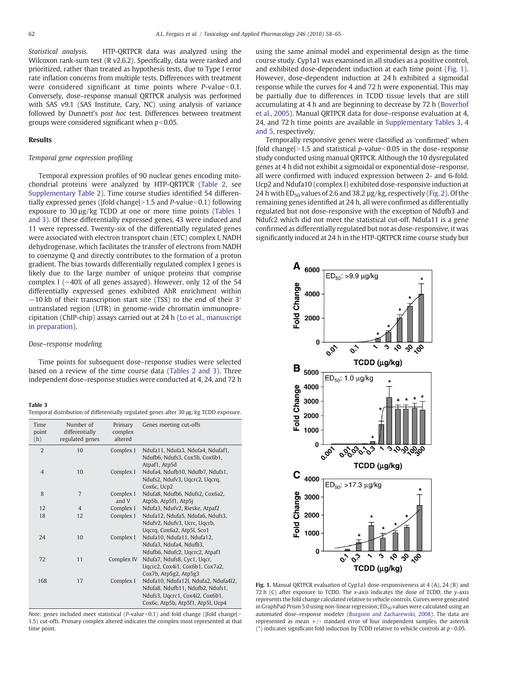Statistical analysis. HTP-QRTPCR data was analyzed using the Wilcoxon rank-sum test (R v2.6.2). Specifically, data were ranked and prioritized, rather than treated as hypothesis tests, due to Type I error rate inflation concerns from multiple tests. Differences with treatment were considered significant at time points where  $P$ -value $<0.1$ . Conversely, dose–response manual QRTPCR analysis was performed with SAS v9.1 (SAS Institute, Cary, NC) using analysis of variance followed by Dunnett's post hoc test. Differences between treatment groups were considered significant when  $p<0.05$ .

#### Results

# Temporal gene expression profiling

Temporal expression profiles of 90 nuclear genes encoding mitochondrial proteins were analyzed by HTP-QRTPCR [\(Table 2](#page-3-0), see Supplementary Table 2). Time course studies identified 54 differentially expressed genes ( $|fold \space change|>1.5$  and P-value $\leq 0.1$ ) following exposure to 30 µg/kg TCDD at one or more time points ([Tables 1](#page-2-0) [and 3](#page-2-0)). Of these differentially expressed genes, 43 were induced and 11 were repressed. Twenty-six of the differentially regulated genes were associated with electron transport chain (ETC) complex I, NADH dehydrogenase, which facilitates the transfer of electrons from NADH to coenzyme Q and directly contributes to the formation of a proton gradient. The bias towards differentially regulated complex I genes is likely due to the large number of unique proteins that comprise complex I (∼40% of all genes assayed). However, only 12 of the 54 differentially expressed genes exhibited AhR enrichment within −10 kb of their transcription start site (TSS) to the end of their 3′ untranslated region (UTR) in genome-wide chromatin immunoprecipitation (ChIP-chip) assays carried out at 24 h ([Lo et al., manuscript](#page-7-0) [in preparation\)](#page-7-0).

## Dose–response modeling

Time points for subsequent dose–response studies were selected based on a review of the time course data [\(Tables 2 and 3\)](#page-3-0). Three independent dose–response studies were conducted at 4, 24, and 72 h

#### Table 3

|  |  |  |  |  |  | Temporal distribution of differentially regulated genes after 30 µg/kg TCDD exposure. |
|--|--|--|--|--|--|---------------------------------------------------------------------------------------|
|--|--|--|--|--|--|---------------------------------------------------------------------------------------|

| Time<br>point<br>(h) | Number of<br>differentially<br>regulated genes | Primary<br>complex<br>altered | Genes meeting cut-offs                                                                                                                           |
|----------------------|------------------------------------------------|-------------------------------|--------------------------------------------------------------------------------------------------------------------------------------------------|
| $\overline{2}$       | 10                                             | Complex I                     | Ndufa11, Ndufa3, Ndufa4, Ndufaf1,<br>Ndufb6, Ndufs3, Cox5b, Cox6b1,                                                                              |
| $\overline{4}$       | 10                                             | Complex I                     | Atpaf1, Atp5d<br>Ndufa4, Ndufb10, Ndufb7, Ndufs1,<br>Ndufs2, Ndufv3, Uqcrc2, Uqcrq,<br>Cox6c, Ucp2                                               |
| 8                    | 7                                              | Complex I<br>and V            | Ndufa8, Ndufb6, Ndufs2, Cox6a2,<br>Atp5b, Atp5f1, Atp5j                                                                                          |
| 12                   | $\overline{4}$                                 | Complex I                     | Ndufa3, Ndufv2, Rieske, Atpaf2                                                                                                                   |
| 18                   | 12                                             | Complex I                     | Ndufa12, Ndufa5, Ndufa6, Ndufs3,<br>Ndufv2, Ndufv3, Ucrc, Uqcrb,<br>Uqcrq, Cox6a2, Atp5l, Sco1                                                   |
| 24                   | 10                                             | Complex I                     | Ndufa10, Ndufa11, Ndufa12,<br>Ndufa3, Ndufa4, Ndufb3,<br>Ndufb6, Ndufc2, Ugcrc2, Atpaf1                                                          |
| 72                   | 11                                             | Complex IV                    | Ndufa7, Ndufs8, Cyc1, Uqcr,<br>Uqcrc2, Cox4i1, Cox6b1, Cox7a2,<br>Cox7b, Atp5g2, Atp5g3                                                          |
| 168                  | 17                                             | Complex I                     | Ndufa10, Ndufa12l, Ndufa2, Ndufa4l2,<br>Ndufa8, Ndufb11, Ndufb2, Ndufs1,<br>Ndufs3, Ugcrc1, Cox4i2, Cox6b1,<br>Cox6c, Atp5b, Atp5f1, Atp5l, Ucp4 |

Note: genes included meet statistical ( $P$ -value<0.1) and fold change (|fold change|> 1.5) cut-offs. Primary complex altered indicates the complex most represented at that time point.

using the same animal model and experimental design as the time course study. Cyp1a1 was examined in all studies as a positive control, and exhibited dose-dependent induction at each time point (Fig. 1). However, dose-dependent induction at 24 h exhibited a sigmoidal response while the curves for 4 and 72 h were exponential. This may be partially due to differences in TCDD tissue levels that are still accumulating at 4 h and are beginning to decrease by 72 h [\(Boverhof](#page-7-0) [et al., 2005\)](#page-7-0). Manual QRTPCR data for dose–response evaluation at 4, 24, and 72 h time points are available in Supplementary Tables 3, 4 and 5, respectively.

Temporally responsive genes were classified as 'confirmed' when |fold change|>1.5 and statistical p-value  $<0.05$  in the dose–response study conducted using manual QRTPCR. Although the 10 dysregulated genes at 4 h did not exhibit a sigmoidal or exponential dose–response, all were confirmed with induced expression between 2- and 6-fold. Ucp2 and Ndufa10 (complex I) exhibited dose-responsive induction at 24 h with  $ED_{50}$  values of 2.6 and 38.2  $\mu$ g/kg, respectively [\(Fig. 2\)](#page-5-0). Of the remaining genes identified at 24 h, all were confirmed as differentially regulated but not dose-responsive with the exception of Ndufb3 and Ndufc2 which did not meet the statistical cut-off. Ndufa11 is a gene confirmed as differentially regulated but not as dose-responsive, it was significantly induced at 24 h in the HTP-QRTPCR time course study but



Fig. 1. Manual QRTPCR evaluation of Cyp1a1 dose-responsiveness at 4 (A), 24 (B) and 72 h (C) after exposure to TCDD. The  $x$ -axis indicates the dose of TCDD, the  $y$ -axis represents the fold change calculated relative to vehicle controls. Curves were generated in GraphPad Prism 5.0 using non-linear regression;  $ED<sub>50</sub>$  values were calculated using an automated dose–response modeler ([Burgoon and Zacharewski, 2008](#page-7-0)). The data are represented as mean  $+/-$  standard error of four independent samples, the asterisk (\*) indicates significant fold induction by TCDD relative to vehicle controls at  $p<0.05$ .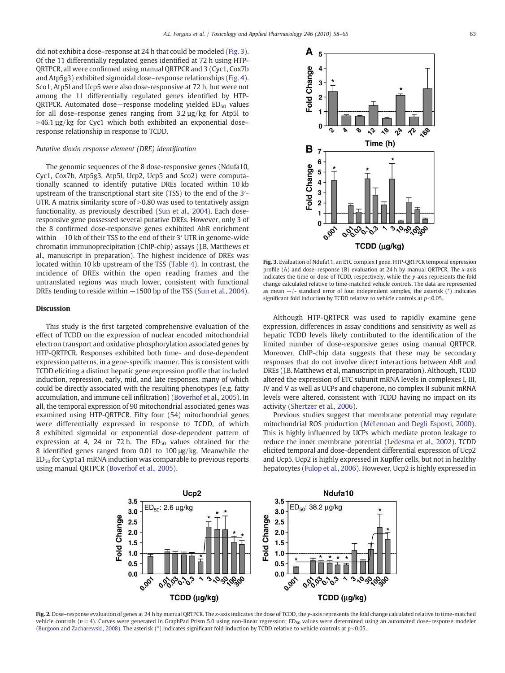<span id="page-5-0"></span>did not exhibit a dose–response at 24 h that could be modeled (Fig. 3). Of the 11 differentially regulated genes identified at 72 h using HTP-QRTPCR, all were confirmed using manual QRTPCR and 3 (Cyc1, Cox7b and Atp5g3) exhibited sigmoidal dose–response relationships ([Fig. 4](#page-6-0)). Sco1, Atp5l and Ucp5 were also dose-responsive at 72 h, but were not among the 11 differentially regulated genes identified by HTP-QRTPCR. Automated dose−response modeling yielded ED<sub>50</sub> values for all dose–response genes ranging from 3.2 µg/kg for Atp5l to  $>46.1 \mu$ g/kg for Cyc1 which both exhibited an exponential dose– response relationship in response to TCDD.

#### Putative dioxin response element (DRE) identification

The genomic sequences of the 8 dose-responsive genes (Ndufa10, Cyc1, Cox7b, Atp5g3, Atp5l, Ucp2, Ucp5 and Sco2) were computationally scanned to identify putative DREs located within 10 kb upstream of the transcriptional start site (TSS) to the end of the 3′- UTR. A matrix similarity score of  $> 0.80$  was used to tentatively assign functionality, as previously described ([Sun et al., 2004](#page-7-0)). Each doseresponsive gene possessed several putative DREs. However, only 3 of the 8 confirmed dose-responsive genes exhibited AhR enrichment within −10 kb of their TSS to the end of their 3′ UTR in genome-wide chromatin immunoprecipitation (ChIP-chip) assays (J.B. Matthews et al., manuscript in preparation). The highest incidence of DREs was located within 10 kb upstream of the TSS [\(Table 4](#page-6-0)). In contrast, the incidence of DREs within the open reading frames and the untranslated regions was much lower, consistent with functional DREs tending to reside within −1500 bp of the TSS [\(Sun et al., 2004](#page-7-0)).

### Discussion

This study is the first targeted comprehensive evaluation of the effect of TCDD on the expression of nuclear encoded mitochondrial electron transport and oxidative phosphorylation associated genes by HTP-QRTPCR. Responses exhibited both time- and dose-dependent expression patterns, in a gene-specific manner. This is consistent with TCDD eliciting a distinct hepatic gene expression profile that included induction, repression, early, mid, and late responses, many of which could be directly associated with the resulting phenotypes (e.g. fatty accumulation, and immune cell infiltration) ([Boverhof et al., 2005](#page-7-0)). In all, the temporal expression of 90 mitochondrial associated genes was examined using HTP-QRTPCR. Fifty four (54) mitochondrial genes were differentially expressed in response to TCDD, of which 8 exhibited sigmoidal or exponential dose-dependent pattern of expression at 4, 24 or 72 h. The  $ED_{50}$  values obtained for the 8 identified genes ranged from 0.01 to 100 μg/kg. Meanwhile the  $ED<sub>50</sub>$  for Cyp1a1 mRNA induction was comparable to previous reports using manual QRTPCR [\(Boverhof et al., 2005](#page-7-0)).



Fig. 3. Evaluation of Ndufa11, an ETC complex I gene. HTP-QRTPCR temporal expression profile (A) and dose–response (B) evaluation at 24 h by manual QRTPCR. The x-axis indicates the time or dose of TCDD, respectively, while the y-axis represents the fold change calculated relative to time-matched vehicle controls. The data are represented as mean  $+/-$  standard error of four independent samples, the asterisk  $(*)$  indicates significant fold induction by TCDD relative to vehicle controls at  $p<0.05$ .

Although HTP-QRTPCR was used to rapidly examine gene expression, differences in assay conditions and sensitivity as well as hepatic TCDD levels likely contributed to the identification of the limited number of dose-responsive genes using manual QRTPCR. Moreover, ChIP-chip data suggests that these may be secondary responses that do not involve direct interactions between AhR and DREs (J.B. Matthews et al, manuscript in preparation). Although, TCDD altered the expression of ETC subunit mRNA levels in complexes I, III, IV and V as well as UCPs and chaperone, no complex II subunit mRNA levels were altered, consistent with TCDD having no impact on its activity [\(Shertzer et al., 2006](#page-7-0)).

Previous studies suggest that membrane potential may regulate mitochondrial ROS production ([McLennan and Degli Esposti, 2000](#page-7-0)). This is highly influenced by UCPs which mediate proton leakage to reduce the inner membrane potential ([Ledesma et al., 2002\)](#page-7-0). TCDD elicited temporal and dose-dependent differential expression of Ucp2 and Ucp5. Ucp2 is highly expressed in Kupffer cells, but not in healthy hepatocytes [\(Fulop et al., 2006](#page-7-0)). However, Ucp2 is highly expressed in



Fig. 2. Dose-response evaluation of genes at 24 h by manual QRTPCR. The x-axis indicates the dose of TCDD, the y-axis represents the fold change calculated relative to time-matched vehicle controls ( $n=4$ ). Curves were generated in GraphPad Prism 5.0 using non-linear regression; ED<sub>50</sub> values were determined using an automated dose–response modeler [\(Burgoon and Zacharewski, 2008](#page-7-0)). The asterisk (\*) indicates significant fold induction by TCDD relative to vehicle controls at  $p<0.05$ .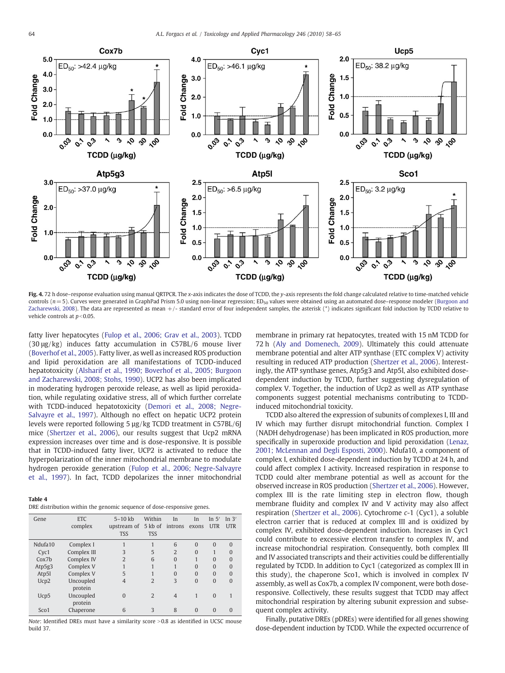<span id="page-6-0"></span>

Fig. 4. 72 h dose–response evaluation using manual QRTPCR. The x-axis indicates the dose of TCDD, the y-axis represents the fold change calculated relative to time-matched vehicle controls ( $n=5$ ). Curves were generated in GraphPad Prism 5.0 using non-linear regression; ED<sub>50</sub> values were obtained using an automated dose–response modeler ([Burgoon and](#page-7-0) [Zacharewski, 2008](#page-7-0)). The data are represented as mean +/- standard error of four independent samples, the asterisk (\*) indicates significant fold induction by TCDD relative to vehicle controls at  $p<0.05$ .

fatty liver hepatocytes [\(Fulop et al., 2006; Grav et al., 2003\)](#page-7-0). TCDD (30 μg/kg) induces fatty accumulation in C57BL/6 mouse liver [\(Boverhof et al., 2005](#page-7-0)). Fatty liver, as well as increased ROS production and lipid peroxidation are all manifestations of TCDD-induced hepatotoxicity ([Alsharif et al., 1990; Boverhof et al., 2005; Burgoon](#page-7-0) [and Zacharewski, 2008; Stohs, 1990](#page-7-0)). UCP2 has also been implicated in moderating hydrogen peroxide release, as well as lipid peroxidation, while regulating oxidative stress, all of which further correlate with TCDD-induced hepatotoxicity ([Demori et al., 2008; Negre-](#page-7-0)[Salvayre et al., 1997](#page-7-0)). Although no effect on hepatic UCP2 protein levels were reported following 5 µg/kg TCDD treatment in C57BL/6J mice ([Shertzer et al., 2006\)](#page-7-0), our results suggest that Ucp2 mRNA expression increases over time and is dose-responsive. It is possible that in TCDD-induced fatty liver, UCP2 is activated to reduce the hyperpolarization of the inner mitochondrial membrane to modulate hydrogen peroxide generation [\(Fulop et al., 2006; Negre-Salvayre](#page-7-0) [et al., 1997\)](#page-7-0). In fact, TCDD depolarizes the inner mitochondrial

#### Table 4

| DRE distribution within the genomic sequence of dose-responsive genes. |  |  |  |
|------------------------------------------------------------------------|--|--|--|
|                                                                        |  |  |  |

| Gene              | <b>ETC</b><br>complex | $5-10$ kb<br>upstream of<br><b>TSS</b> | Within<br>5 kb of<br><b>TSS</b> | In<br>introns exons | In       | In $5'$<br><b>UTR</b> | In $3'$<br><b>UTR</b> |
|-------------------|-----------------------|----------------------------------------|---------------------------------|---------------------|----------|-----------------------|-----------------------|
| Ndufa10           | Complex I             |                                        |                                 | 6                   | $\Omega$ | $\Omega$              | $\Omega$              |
| Cyc1              | Complex III           | 3                                      | 5                               | $\overline{2}$      | $\Omega$ |                       | $\Omega$              |
| Cox <sub>7b</sub> | Complex IV            | $\overline{2}$                         | 6                               | $\mathbf{0}$        |          | $\Omega$              | $\Omega$              |
| Atp5g3            | Complex V             |                                        |                                 |                     | $\Omega$ | $\Omega$              | $\Omega$              |
| Atp5l             | Complex V             | 5                                      |                                 | $\Omega$            | $\Omega$ | $\Omega$              | $\Omega$              |
| Ucp2              | Uncoupled<br>protein  | 4                                      | $\overline{2}$                  | 3                   | $\Omega$ | $\Omega$              | $\Omega$              |
| Ucp5              | Uncoupled<br>protein  | $\Omega$                               | $\overline{2}$                  | $\overline{4}$      |          | $\Omega$              |                       |
| Sco1              | Chaperone             | 6                                      | 3                               | 8                   | $\Omega$ | $\Omega$              | $\Omega$              |

Note: Identified DREs must have a similarity score  $>0.8$  as identified in UCSC mouse build 37.

membrane in primary rat hepatocytes, treated with 15 nM TCDD for 72 h ([Aly and Domenech, 2009](#page-7-0)). Ultimately this could attenuate membrane potential and alter ATP synthase (ETC complex V) activity resulting in reduced ATP production ([Shertzer et al., 2006\)](#page-7-0). Interestingly, the ATP synthase genes, Atp5g3 and Atp5l, also exhibited dosedependent induction by TCDD, further suggesting dysregulation of complex V. Together, the induction of Ucp2 as well as ATP synthase components suggest potential mechanisms contributing to TCDDinduced mitochondrial toxicity.

TCDD also altered the expression of subunits of complexes I, III and IV which may further disrupt mitochondrial function. Complex I (NADH dehydrogenase) has been implicated in ROS production, more specifically in superoxide production and lipid peroxidation [\(Lenaz,](#page-7-0) [2001; McLennan and Degli Esposti, 2000\)](#page-7-0). Ndufa10, a component of complex I, exhibited dose-dependent induction by TCDD at 24 h, and could affect complex I activity. Increased respiration in response to TCDD could alter membrane potential as well as account for the observed increase in ROS production [\(Shertzer et al., 2006\)](#page-7-0). However, complex III is the rate limiting step in electron flow, though membrane fluidity and complex IV and V activity may also affect respiration ([Shertzer et al., 2006\)](#page-7-0). Cytochrome c-1 (Cyc1), a soluble electron carrier that is reduced at complex III and is oxidized by complex IV, exhibited dose-dependent induction. Increases in Cyc1 could contribute to excessive electron transfer to complex IV, and increase mitochondrial respiration. Consequently, both complex III and IV associated transcripts and their activities could be differentially regulated by TCDD. In addition to Cyc1 (categorized as complex III in this study), the chaperone Sco1, which is involved in complex IV assembly, as well as Cox7b, a complex IV component, were both doseresponsive. Collectively, these results suggest that TCDD may affect mitochondrial respiration by altering subunit expression and subsequent complex activity.

Finally, putative DREs (pDREs) were identified for all genes showing dose-dependent induction by TCDD. While the expected occurrence of